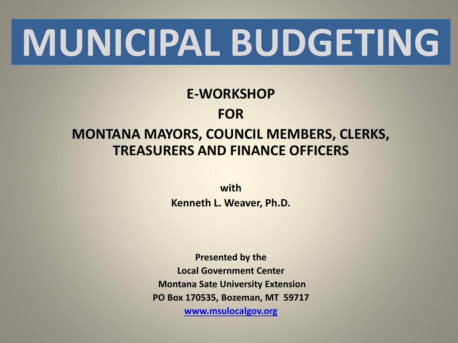# **MUNICIPAL BUDGETING**

#### **E-WORKSHOP FOR MONTANA MAYORS, COUNCIL MEMBERS, CLERKS, TREASURERS AND FINANCE OFFICERS**

**with Kenneth L. Weaver, Ph.D.**

**Presented by the Local Government Center Montana Sate University Extension PO Box 170535, Bozeman, MT 59717 [www.msulocalgov.org](http://www.msulocalgov.org/)**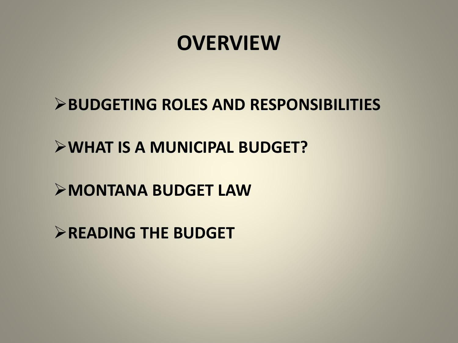### **OVERVIEW**

**BUDGETING ROLES AND RESPONSIBILITIES**

**WHAT IS A MUNICIPAL BUDGET?**

**MONTANA BUDGET LAW**

**READING THE BUDGET**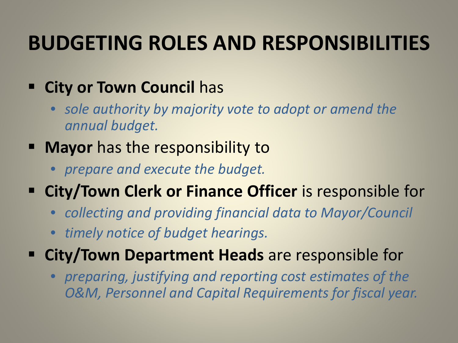## **BUDGETING ROLES AND RESPONSIBILITIES**

#### **EXECT:** City or Town Council has

• *sole authority by majority vote to adopt or amend the annual budget.*

#### **Mayor** has the responsibility to

• *prepare and execute the budget.*

#### **EXTER 15 City/Town Clerk or Finance Officer** is responsible for

- *collecting and providing financial data to Mayor/Council*
- *timely notice of budget hearings.*
- **City/Town Department Heads** are responsible for
	- *preparing, justifying and reporting cost estimates of the O&M, Personnel and Capital Requirements for fiscal year.*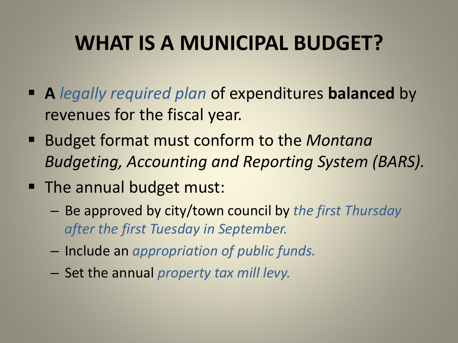## **WHAT IS A MUNICIPAL BUDGET?**

- **A** *legally required plan* of expenditures **balanced** by revenues for the fiscal year.
- Budget format must conform to the *Montana Budgeting, Accounting and Reporting System (BARS).*
- The annual budget must:
	- Be approved by city/town council by *the first Thursday after the first Tuesday in September.*
	- Include an *appropriation of public funds.*
	- Set the annual *property tax mill levy.*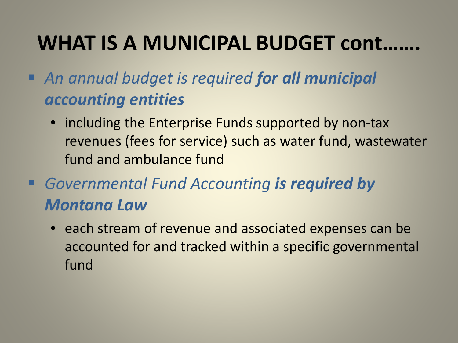## WHAT IS A MUNICIPAL BUDGET cont.

- *An annual budget is required for all municipal accounting entities*
	- including the Enterprise Funds supported by non-tax revenues (fees for service) such as water fund, wastewater fund and ambulance fund
- *Governmental Fund Accounting is required by Montana Law*
	- each stream of revenue and associated expenses can be accounted for and tracked within a specific governmental fund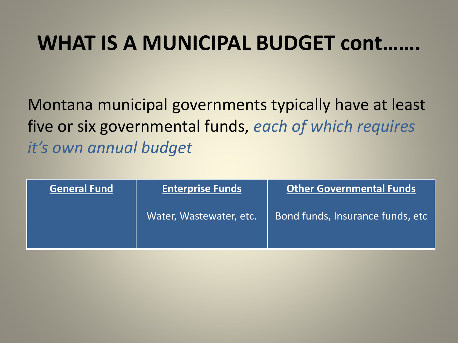## WHAT IS A MUNICIPAL BUDGET cont.

Montana municipal governments typically have at least five or six governmental funds, *each of which requires it's own annual budget*

| <b>General Fund</b> | <b>Enterprise Funds</b> | <b>Other Governmental Funds</b>  |
|---------------------|-------------------------|----------------------------------|
|                     | Water, Wastewater, etc. | Bond funds, Insurance funds, etc |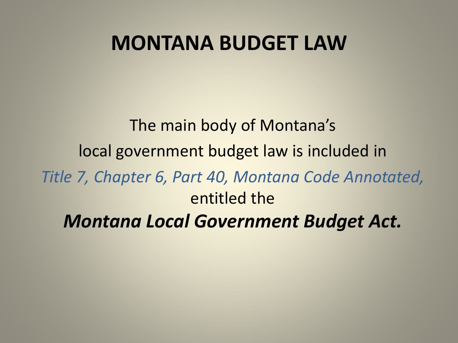### **MONTANA BUDGET LAW**

The main body of Montana's local government budget law is included in *Title 7, Chapter 6, Part 40, Montana Code Annotated,*  entitled the *Montana Local Government Budget Act.*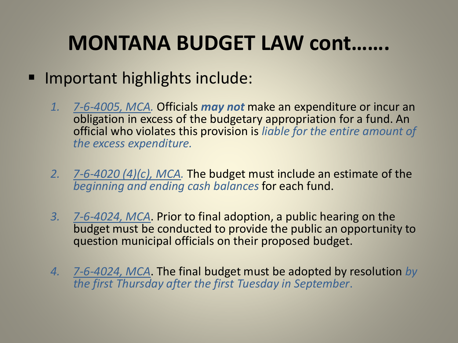## **MONTANA BUDGET LAW cont…….**

#### ■ Important highlights include:

- *1. 7-6-4005, MCA.* Officials *may not* make an expenditure or incur an obligation in excess of the budgetary appropriation for a fund. An official who violates this provision is *liable for the entire amount of the excess expenditure.*
- *2. 7-6-4020 (4)(c), MCA.* The budget must include an estimate of the *beginning and ending cash balances* for each fund.
- *3. 7-6-4024, MCA*. Prior to final adoption, a public hearing on the budget must be conducted to provide the public an opportunity to question municipal officials on their proposed budget.
- *4. 7-6-4024, MCA*. The final budget must be adopted by resolution *by the first Thursday after the first Tuesday in September*.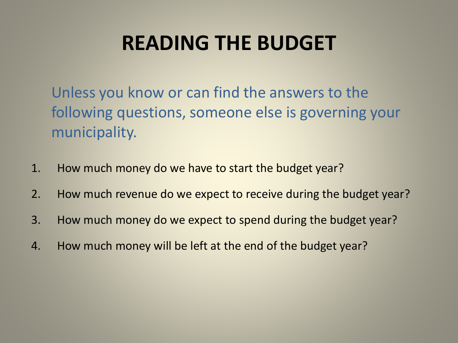## **READING THE BUDGET**

Unless you know or can find the answers to the following questions, someone else is governing your municipality.

- 1. How much money do we have to start the budget year?
- 2. How much revenue do we expect to receive during the budget year?
- 3. How much money do we expect to spend during the budget year?
- 4. How much money will be left at the end of the budget year?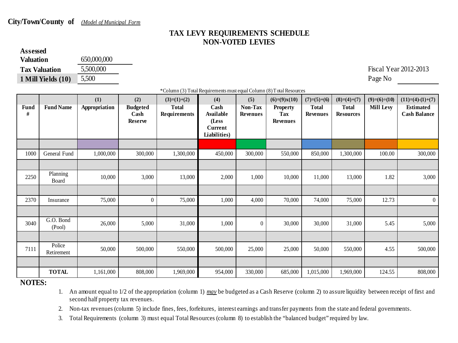#### **City/Town/County of** *(Model of Municipal Form*

#### **TAX LEVY REQUIREMENTS SCHEDULE NON-VOTED LEVIES**

#### **Assessed Valuation** 650,000,000 **Tax Valuation** 5,500,000 5,500,000 Fiscal Year 2012-2013 **1 Mill Yields (10)** 5,500 Page No

\*Column (3) Total Requirements must equal Column (8) Total Resources

| <b>Fund</b><br>$\#$ | <b>Fund Name</b>     | (1)<br>Appropriation | (2)<br><b>Budgeted</b><br>Cash<br><b>Reserve</b> | $(3)=(1)+(2)$<br><b>Total</b><br>Requirements | (4)<br>Cash<br><b>Available</b><br>(Less<br>Current<br>Liabilities) | (5)<br>Non-Tax<br><b>Revenues</b> | $(6)=(9)x(10)$<br><b>Property</b><br><b>Tax</b><br>Revenues | $(7)=(5)+(6)$<br>Total<br><b>Revenues</b> | $(8)=(4)+(7)$<br><b>Total</b><br><b>Resources</b> | $(9)=(6)\div(10)$<br>Mill Levy | $(11)= (4)-(1)+(7)$<br><b>Estimated</b><br><b>Cash Balance</b> |
|---------------------|----------------------|----------------------|--------------------------------------------------|-----------------------------------------------|---------------------------------------------------------------------|-----------------------------------|-------------------------------------------------------------|-------------------------------------------|---------------------------------------------------|--------------------------------|----------------------------------------------------------------|
|                     |                      |                      |                                                  |                                               |                                                                     |                                   |                                                             |                                           |                                                   |                                |                                                                |
| 1000                | General Fund         | 1,000,000            | 300,000                                          | 1,300,000                                     | 450,000                                                             | 300,000                           | 550,000                                                     | 850,000                                   | 1,300,000                                         | 100.00                         | 300,000                                                        |
|                     |                      |                      |                                                  |                                               |                                                                     |                                   |                                                             |                                           |                                                   |                                |                                                                |
| 2250                | Planning<br>Board    | 10,000               | 3,000                                            | 13,000                                        | 2,000                                                               | 1,000                             | 10,000                                                      | 11,000                                    | 13,000                                            | 1.82                           | 3,000                                                          |
|                     |                      |                      |                                                  |                                               |                                                                     |                                   |                                                             |                                           |                                                   |                                |                                                                |
| 2370                | Insurance            | 75,000               | $\overline{0}$                                   | 75,000                                        | 1,000                                                               | 4,000                             | 70,000                                                      | 74,000                                    | 75,000                                            | 12.73                          | $\overline{0}$                                                 |
|                     |                      |                      |                                                  |                                               |                                                                     |                                   |                                                             |                                           |                                                   |                                |                                                                |
| 3040                | G.O. Bond<br>(Pool)  | 26,000               | 5,000                                            | 31,000                                        | 1,000                                                               | $\mathbf{0}$                      | 30,000                                                      | 30,000                                    | 31,000                                            | 5.45                           | 5,000                                                          |
|                     |                      |                      |                                                  |                                               |                                                                     |                                   |                                                             |                                           |                                                   |                                |                                                                |
| 7111                | Police<br>Retirement | 50,000               | 500,000                                          | 550,000                                       | 500,000                                                             | 25,000                            | 25,000                                                      | 50,000                                    | 550,000                                           | 4.55                           | 500,000                                                        |
|                     |                      |                      |                                                  |                                               |                                                                     |                                   |                                                             |                                           |                                                   |                                |                                                                |
|                     | <b>TOTAL</b>         | 1,161,000            | 808,000                                          | 1,969,000                                     | 954,000                                                             | 330,000                           | 685,000                                                     | 1,015,000                                 | 1,969,000                                         | 124.55                         | 808,000                                                        |

**NOTES:**

1. An amount equal to 1/2 of the appropriation (column 1) *may* be budgeted as a Cash Reserve (column 2) to assure liquidity between receipt of first and second half property tax revenues.

2. Non-tax revenues (column 5) include fines, fees, forfeitures, interest earnings and transfer payments from the state and federal governments.

3. Total Requirements (column 3) must equal Total Resources (column 8) to establish the "balanced budget" required by law.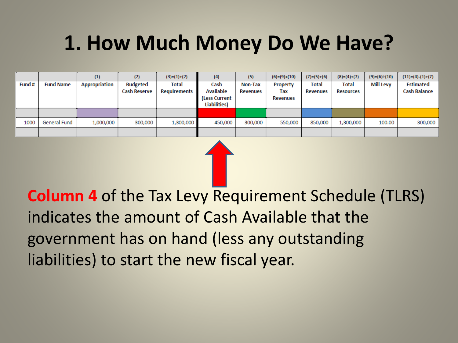## **1. How Much Money Do We Have?**

| Fund# | <b>Fund Name</b> | (1)<br><b>Appropriation</b> | (2)<br><b>Budgeted</b><br><b>Cash Reserve</b> | $(3)=(1)+(2)$<br>Total<br>Requirements | (4)<br>Cash<br><b>Available</b><br>(Less Current<br><b>Liabilities)</b> | (5)<br>Non-Tax<br>Revenues | $(6)=(9)x(10)$<br>Property<br>Tax<br><b>Revenues</b> | $(7)=(5)+(6)$<br>Total<br><b>Revenues</b> | $(8)=(4)+(7)$<br>Total<br><b>Resources</b> | $(9)=(6)+(10)$<br><b>Mill Levy</b> | $(11)=(4)-(1)+(7)$<br><b>Estimated</b><br><b>Cash Balance</b> |
|-------|------------------|-----------------------------|-----------------------------------------------|----------------------------------------|-------------------------------------------------------------------------|----------------------------|------------------------------------------------------|-------------------------------------------|--------------------------------------------|------------------------------------|---------------------------------------------------------------|
|       |                  |                             |                                               |                                        |                                                                         |                            |                                                      |                                           |                                            |                                    |                                                               |
| 1000  | General Fund     | 1,000,000                   | 300,000                                       | 1,300,000                              | 450,000                                                                 | 300,000                    | 550,000                                              | 850,000                                   | 1,300,000                                  | 100.00                             | 300,000                                                       |
|       |                  |                             |                                               |                                        |                                                                         |                            |                                                      |                                           |                                            |                                    |                                                               |

**Column 4** of the Tax Levy Requirement Schedule (TLRS) indicates the amount of Cash Available that the government has on hand (less any outstanding liabilities) to start the new fiscal year.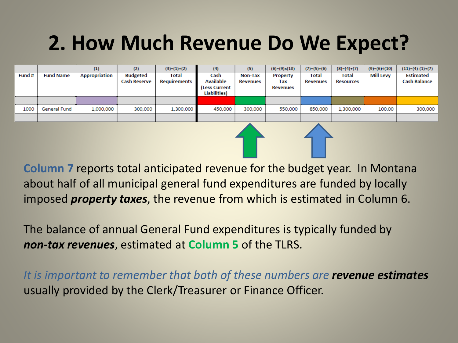## **2. How Much Revenue Do We Expect?**

|        |                  | (1)                  | (2)                                    | $(3)=(1)+(2)$         | (4)                                                               | (5)                 | $(6)=(9)x(10)$                     | $(7)=(5)+(6)$                   | $(8)=(4)+(7)$             | $(9)=(6)+(10)$ | $(11)=(4)-(1)+(7)$                      |
|--------|------------------|----------------------|----------------------------------------|-----------------------|-------------------------------------------------------------------|---------------------|------------------------------------|---------------------------------|---------------------------|----------------|-----------------------------------------|
| Fund # | <b>Fund Name</b> | <b>Appropriation</b> | <b>Budgeted</b><br><b>Cash Reserve</b> | Total<br>Requirements | Cash<br><b>Available</b><br>(Less Current<br><b>Liabilities</b> ) | Non-Tax<br>Revenues | Property<br>Tax<br><b>Revenues</b> | <b>Total</b><br><b>Revenues</b> | Total<br><b>Resources</b> | Mill Levy      | <b>Estimated</b><br><b>Cash Balance</b> |
|        |                  |                      |                                        |                       |                                                                   |                     |                                    |                                 |                           |                |                                         |
| 1000   | General Fund     | 1,000,000            | 300,000                                | 1,300,000             | 450,000                                                           | 300,000             | 550,000                            | 850,000                         | 1,300,000                 | 100.00         | 300,000                                 |
|        |                  |                      |                                        |                       |                                                                   |                     |                                    |                                 |                           |                |                                         |

**Column 7** reports total anticipated revenue for the budget year. In Montana about half of all municipal general fund expenditures are funded by locally imposed *property taxes*, the revenue from which is estimated in Column 6.

The balance of annual General Fund expenditures is typically funded by *non-tax revenues*, estimated at **Column 5** of the TLRS.

*It is important to remember that both of these numbers are revenue estimates*  usually provided by the Clerk/Treasurer or Finance Officer.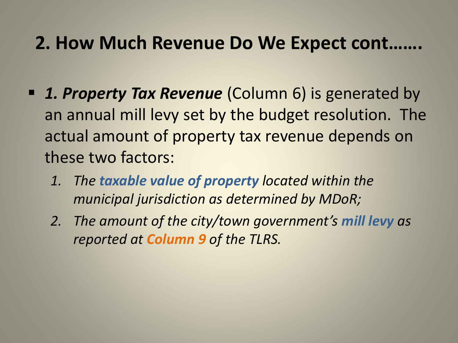#### **2. How Much Revenue Do We Expect cont…….**

- *1. Property Tax Revenue* (Column 6) is generated by an annual mill levy set by the budget resolution. The actual amount of property tax revenue depends on these two factors:
	- *1. The taxable value of property located within the municipal jurisdiction as determined by MDoR;*
	- *2. The amount of the city/town government's mill levy as reported at Column 9 of the TLRS.*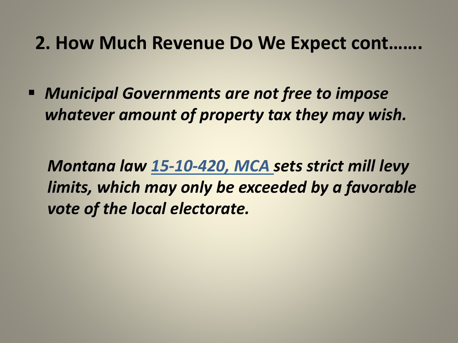#### **2. How Much Revenue Do We Expect cont…….**

 *Municipal Governments are not free to impose whatever amount of property tax they may wish.* 

*Montana law 15-10-420, MCA sets strict mill levy limits, which may only be exceeded by a favorable vote of the local electorate.*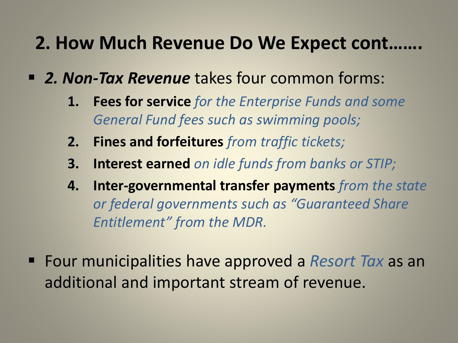#### **2. How Much Revenue Do We Expect cont…….**

- *2. Non-Tax Revenue* takes four common forms:
	- **1. Fees for service** *for the Enterprise Funds and some General Fund fees such as swimming pools;*
	- **2. Fines and forfeitures** *from traffic tickets;*
	- **3. Interest earned** *on idle funds from banks or STIP;*
	- **4. Inter-governmental transfer payments** *from the state or federal governments such as "Guaranteed Share Entitlement" from the MDR.*
- Four municipalities have approved a *Resort Tax* as an additional and important stream of revenue.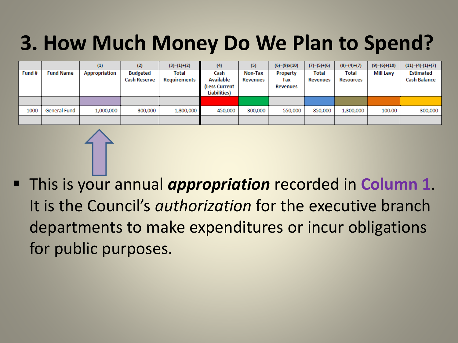## **3. How Much Money Do We Plan to Spend?**

|        |                  | (1)                  | (2)                                    | $(3)=(1)+(2)$         | (4)                                                       | (5)                 | $(6)=(9)x(10)$                     | $(7)=(5)+(6)$            | $(8)=(4)+(7)$             | $(9)=(6)+(10)$   | $(11)=(4)-(1)+(7)$                      |
|--------|------------------|----------------------|----------------------------------------|-----------------------|-----------------------------------------------------------|---------------------|------------------------------------|--------------------------|---------------------------|------------------|-----------------------------------------|
| Fund # | <b>Fund Name</b> | <b>Appropriation</b> | <b>Budgeted</b><br><b>Cash Reserve</b> | Total<br>Requirements | Cash<br><b>Available</b><br>(Less Current<br>Liabilities) | Non-Tax<br>Revenues | Property<br>Tax<br><b>Revenues</b> | Total<br><b>Revenues</b> | Total<br><b>Resources</b> | <b>Mill Levy</b> | <b>Estimated</b><br><b>Cash Balance</b> |
|        |                  |                      |                                        |                       |                                                           |                     |                                    |                          |                           |                  |                                         |
| 1000   | General Fund     | 1,000,000            | 300,000                                | 1,300,000             | 450,000                                                   | 300,000             | 550,000                            | 850,000                  | 1,300,000                 | 100.00           | 300,000                                 |
|        |                  |                      |                                        |                       |                                                           |                     |                                    |                          |                           |                  |                                         |

 This is your annual *appropriation* recorded in **Column 1**. It is the Council's *authorization* for the executive branch departments to make expenditures or incur obligations for public purposes.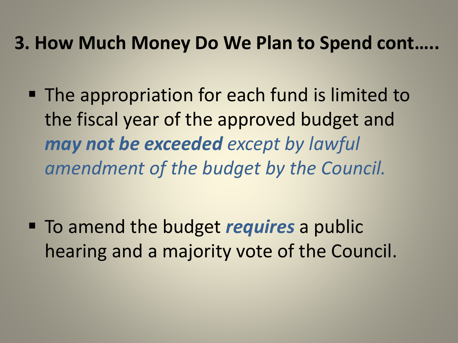#### **3. How Much Money Do We Plan to Spend cont…..**

■ The appropriation for each fund is limited to the fiscal year of the approved budget and *may not be exceeded except by lawful amendment of the budget by the Council.* 

 To amend the budget *requires* a public hearing and a majority vote of the Council.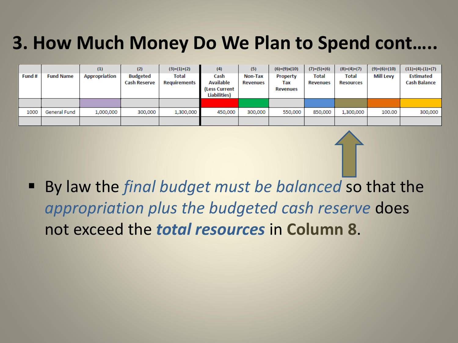### **3. How Much Money Do We Plan to Spend cont…..**

|        |                  | (1)                  | (2)                                    | $(3)=(1)+(2)$                | (4)                                   | (5)                 | $(6)=(9)x(10)$  | $(7)=(5)+(6)$                   | $(8)=(4)+(7)$                    | $(9)=(6)+(10)$   | $(11)=(4)-(1)+(7)$                      |
|--------|------------------|----------------------|----------------------------------------|------------------------------|---------------------------------------|---------------------|-----------------|---------------------------------|----------------------------------|------------------|-----------------------------------------|
| Fund # | <b>Fund Name</b> | <b>Appropriation</b> | <b>Budgeted</b><br><b>Cash Reserve</b> | <b>Total</b><br>Requirements | Cash<br><b>Available</b>              | Non-Tax<br>Revenues | Property<br>Tax | <b>Total</b><br><b>Revenues</b> | <b>Total</b><br><b>Resources</b> | <b>Mill Levy</b> | <b>Estimated</b><br><b>Cash Balance</b> |
|        |                  |                      |                                        |                              | (Less Current<br><b>Liabilities</b> ) |                     | Revenues        |                                 |                                  |                  |                                         |
|        |                  |                      |                                        |                              |                                       |                     |                 |                                 |                                  |                  |                                         |
| 1000   | General Fund     | 1,000,000            | 300,000                                | 1,300,000                    | 450,000                               | 300,000             | 550,000         | 850,000                         | 1,300,000                        | 100.00           | 300,000                                 |
|        |                  |                      |                                        |                              |                                       |                     |                 |                                 |                                  |                  |                                         |

 By law the *final budget must be balanced* so that the *appropriation plus the budgeted cash reserve* does not exceed the *total resources* in **Column 8**.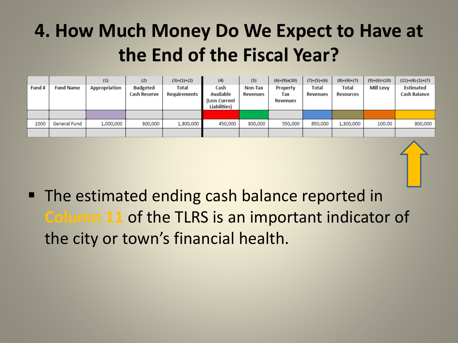### **4. How Much Money Do We Expect to Have at the End of the Fiscal Year?**

|        |                  | (1)                  | (2)                                    | $(3)=(1)+(2)$                | (4)                                                               | (5)                        | $(6)=(9)x(10)$                     | $(7)=(5)+(6)$            | $(8)=(4)+(7)$                    | $(9)=(6)+(10)$   | $(11)=(4)-(1)+(7)$                      |
|--------|------------------|----------------------|----------------------------------------|------------------------------|-------------------------------------------------------------------|----------------------------|------------------------------------|--------------------------|----------------------------------|------------------|-----------------------------------------|
| Fund # | <b>Fund Name</b> | <b>Appropriation</b> | <b>Budgeted</b><br><b>Cash Reserve</b> | <b>Total</b><br>Requirements | Cash<br><b>Available</b><br>(Less Current<br><b>Liabilities</b> ) | Non-Tax<br><b>Revenues</b> | Property<br>Tax<br><b>Revenues</b> | Total<br><b>Revenues</b> | <b>Total</b><br><b>Resources</b> | <b>Mill Levy</b> | <b>Estimated</b><br><b>Cash Balance</b> |
|        |                  |                      |                                        |                              |                                                                   |                            |                                    |                          |                                  |                  |                                         |
|        |                  |                      |                                        |                              |                                                                   |                            |                                    |                          |                                  |                  |                                         |
| 1000   | General Fund     | 1,000,000            | 300,000                                | 1,300,000                    | 450,000                                                           | 300,000                    | 550,000                            | 850,000                  | 1,300,000                        | 100,00           | 300,000                                 |
|        |                  |                      |                                        |                              |                                                                   |                            |                                    |                          |                                  |                  |                                         |



■ The estimated ending cash balance reported in **Column 11** of the TLRS is an important indicator of the city or town's financial health.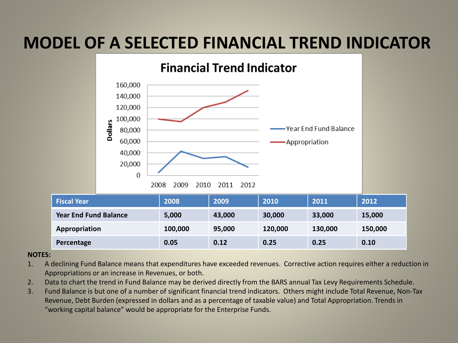#### **MODEL OF A SELECTED FINANCIAL TREND INDICATOR**



#### **NOTES:**

- 1. A declining Fund Balance means that expenditures have exceeded revenues. Corrective action requires either a reduction in Appropriations or an increase in Revenues, or both.
- 2. Data to chart the trend in Fund Balance may be derived directly from the BARS annual Tax Levy Requirements Schedule.
- 3. Fund Balance is but one of a number of significant financial trend indicators. Others might include Total Revenue, Non-Tax Revenue, Debt Burden (expressed in dollars and as a percentage of taxable value) and Total Appropriation. Trends in "working capital balance" would be appropriate for the Enterprise Funds.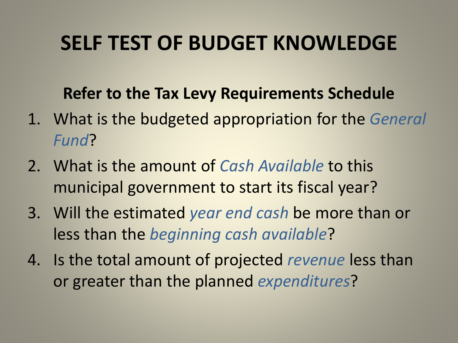## **SELF TEST OF BUDGET KNOWLEDGE**

#### **Refer to the Tax Levy Requirements Schedule**

- 1. What is the budgeted appropriation for the *General Fund*?
- 2. What is the amount of *Cash Available* to this municipal government to start its fiscal year?
- 3. Will the estimated *year end cash* be more than or less than the *beginning cash available*?
- 4. Is the total amount of projected *revenue* less than or greater than the planned *expenditures*?